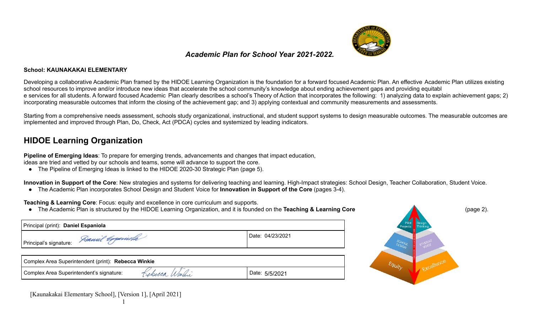

## *Academic Plan for School Year 2021-2022.*

#### **School: KAUNAKAKAI ELEMENTARY**

Developing a collaborative Academic Plan framed by the HIDOE Learning Organization is the foundation for a forward focused Academic Plan. An effective Academic Plan utilizes existing school resources to improve and/or introduce new ideas that accelerate the school community's knowledge about ending achievement gaps and providing equitabl e services for all students. A forward focused Academic Plan clearly describes a school's Theory of Action that incorporates the following: 1) analyzing data to explain achievement gaps; 2) incorporating measurable outcomes that inform the closing of the achievement gap; and 3) applying contextual and community measurements and assessments.

Starting from a comprehensive needs assessment, schools study organizational, instructional, and student support systems to design measurable outcomes. The measurable outcomes are implemented and improved through Plan, Do, Check, Act (PDCA) cycles and systemized by leading indicators.

## **HIDOE Learning Organization**

**Pipeline of Emerging Ideas**: To prepare for emerging trends, advancements and changes that impact education,

ideas are tried and vetted by our schools and teams, some will advance to support the core.

● The Pipeline of Emerging Ideas is linked to the HIDOE 2020-30 Strategic Plan (page 5).

**Innovation in Support of the Core**: New strategies and systems for delivering teaching and learning. High-Impact strategies: School Design, Teacher Collaboration, Student Voice.

● The Academic Plan incorporates School Design and Student Voice for **Innovation in Support of the Core** (pages 3-4).

**Teaching & Learning Core**: Focus: equity and excellence in core curriculum and supports.

● The Academic Plan is structured by the HIDOE Learning Organization, and it is founded on the **Teaching & Learning Core** (page 2).

| Principal (print): Daniel Espaniola                        |                  |  |  |  |  |
|------------------------------------------------------------|------------------|--|--|--|--|
| I Principal's signature: <i>Danuil Experimenta</i>         | Date: 04/23/2021 |  |  |  |  |
| Complex Area Superintendent (print): Rebecca Winkie        |                  |  |  |  |  |
| Kebecca Winhie<br>Complex Area Superintendent's signature: | Date: 5/5/2021   |  |  |  |  |

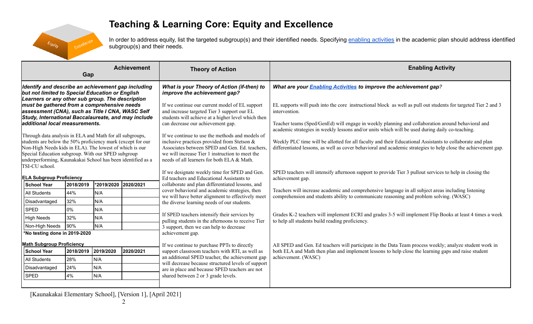# $E_{q_{U}}$

# **Teaching & Learning Core: Equity and Excellence**

In order to address equity, list the targeted subgroup(s) and their identified needs. Specifying enabling [activities](https://docs.google.com/document/d/1_CBCCCUPTqpr2sEeh1fQ9EUVupyhBBZlYUdzcm9zCw0/edit) in the academic plan should address identified subgroup(s) and their needs.

|                                                                                                                                                                                                                                                                                                                           | Gap       |                      | <b>Achievement</b> | <b>Theory of Action</b>                                                                                                                                                                                                                              | <b>Enabling Activity</b>                                                                                                                                                                                                    |
|---------------------------------------------------------------------------------------------------------------------------------------------------------------------------------------------------------------------------------------------------------------------------------------------------------------------------|-----------|----------------------|--------------------|------------------------------------------------------------------------------------------------------------------------------------------------------------------------------------------------------------------------------------------------------|-----------------------------------------------------------------------------------------------------------------------------------------------------------------------------------------------------------------------------|
| Identify and describe an achievement gap including<br>but not limited to Special Education or English<br>Learners or any other sub group. The description                                                                                                                                                                 |           |                      |                    | What is your Theory of Action (if-then) to<br>improve the achievement gap?                                                                                                                                                                           | What are your <b>Enabling Activities</b> to improve the achievement gap?                                                                                                                                                    |
| must be gathered from a comprehensive needs<br>assessment (CNA), such as Title I CNA, WASC Self<br>Study, International Baccalaureate, and may include                                                                                                                                                                    |           |                      |                    | If we continue our current model of EL support<br>and increase targeted Tier 3 support our EL<br>students will achieve at a higher level which then                                                                                                  | EL supports will push into the core instructional block as well as pull out students for targeted Tier 2 and 3<br>intervention.                                                                                             |
| additional local measurements.                                                                                                                                                                                                                                                                                            |           |                      |                    | can decrease our achievement gap.                                                                                                                                                                                                                    | Teacher teams (Sped/GenEd) will engage in weekly planning and collaboration around behavioral and<br>academic strategies in weekly lessons and/or units which will be used during daily co-teaching.                        |
| Through data analysis in ELA and Math for all subgroups,<br>students are below the 50% proficiency mark (except for our<br>Non-High Needs kids in ELA). The lowest of which is our<br>Special Education subgroup. With our SPED subgroup<br>underperforming, Kaunakakai School has been identified as a<br>TSI-CU school. |           |                      |                    | If we continue to use the methods and models of<br>inclusive practices provided from Stetson $\&$<br>Associates between SPED and Gen. Ed. teachers.<br>we will increase Tier 1 instruction to meet the<br>needs of all learners for both ELA & Math. | Weekly PLC time will be allotted for all faculty and their Educational Assistants to collaborate and plan<br>differentiated lessons, as well as cover behavioral and academic strategies to help close the achievement gap. |
| <b>ELA Subgroup Proficiency</b>                                                                                                                                                                                                                                                                                           |           |                      |                    | If we designate weekly time for SPED and Gen.<br>Ed teachers and Educational Assistants to                                                                                                                                                           | SPED teachers will intensify afternoon support to provide Tier 3 pullout services to help in closing the<br>achievement gap.                                                                                                |
| <b>School Year</b>                                                                                                                                                                                                                                                                                                        | 2018/2019 | *2019/2020 2020/2021 |                    | collaborate and plan differentiated lessons, and                                                                                                                                                                                                     |                                                                                                                                                                                                                             |
| <b>All Students</b>                                                                                                                                                                                                                                                                                                       | 44%       | N/A                  |                    | cover behavioral and academic strategies, then<br>we will have better alignment to effectively meet                                                                                                                                                  | Teachers will increase academic and comprehensive language in all subject areas including listening<br>comprehension and students ability to communicate reasoning and problem solving. (WASC)                              |
| Disadvantaged                                                                                                                                                                                                                                                                                                             | 32%       | N/A                  |                    | the diverse learning needs of our students.                                                                                                                                                                                                          |                                                                                                                                                                                                                             |
| <b>SPED</b>                                                                                                                                                                                                                                                                                                               | 0%        | N/A                  |                    |                                                                                                                                                                                                                                                      |                                                                                                                                                                                                                             |
| <b>High Needs</b>                                                                                                                                                                                                                                                                                                         | 32%       | N/A                  |                    | If SPED teachers intensify their services by<br>pulling students in the afternoons to receive Tier                                                                                                                                                   | Grades K-2 teachers will implement ECRI and grades 3-5 will implement Flip Books at least 4 times a week<br>to help all students build reading proficiency.                                                                 |
| Non-High Needs                                                                                                                                                                                                                                                                                                            | 90%       | N/A                  |                    | 3 support, then we can help to decrease                                                                                                                                                                                                              |                                                                                                                                                                                                                             |
| *No testing done in 2019-2020                                                                                                                                                                                                                                                                                             |           |                      |                    | achievement gap.                                                                                                                                                                                                                                     |                                                                                                                                                                                                                             |
| <b>Math Subgroup Proficiency</b>                                                                                                                                                                                                                                                                                          |           |                      |                    | If we continue to purchase PPTs to directly                                                                                                                                                                                                          | All SPED and Gen. Ed teachers will participate in the Data Team process weekly; analyze student work in                                                                                                                     |
| <b>School Year</b>                                                                                                                                                                                                                                                                                                        | 2018/2019 | 2019/2020            | 2020/2021          | support classroom teachers with RTI, as well as                                                                                                                                                                                                      | both ELA and Math then plan and implement lessons to help close the learning gaps and raise student                                                                                                                         |
| <b>All Students</b>                                                                                                                                                                                                                                                                                                       | 28%       | N/A                  |                    | an additional SPED teacher, the achievement gap                                                                                                                                                                                                      | achievement. (WASC)                                                                                                                                                                                                         |
| Disadvantaged                                                                                                                                                                                                                                                                                                             | 24%       | N/A                  |                    | will decrease because structured levels of support<br>are in place and because SPED teachers are not                                                                                                                                                 |                                                                                                                                                                                                                             |
| <b>SPED</b>                                                                                                                                                                                                                                                                                                               | 4%        | N/A                  |                    | shared between 2 or 3 grade levels.                                                                                                                                                                                                                  |                                                                                                                                                                                                                             |
|                                                                                                                                                                                                                                                                                                                           |           |                      |                    |                                                                                                                                                                                                                                                      |                                                                                                                                                                                                                             |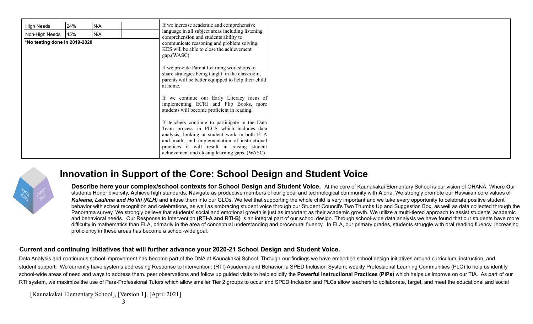| <b>High Needs</b><br>Non-High Needs | 24%<br>45% | N/A<br>N/A                                                                                                                                                                                                                                                                |  | If we increase academic and comprehensive<br>language in all subject areas including listening<br>comprehension and students ability to                                                                                                                                                                                                                                                                                              |  |
|-------------------------------------|------------|---------------------------------------------------------------------------------------------------------------------------------------------------------------------------------------------------------------------------------------------------------------------------|--|--------------------------------------------------------------------------------------------------------------------------------------------------------------------------------------------------------------------------------------------------------------------------------------------------------------------------------------------------------------------------------------------------------------------------------------|--|
| *No testing done in 2019-2020       |            | communicate reasoning and problem solving,<br>KES will be able to close the achievement<br>gap.(WASC)<br>If we provide Parent Learning workshops to<br>share strategies being taught in the classroom,<br>parents will be better equipped to help their child<br>at home. |  |                                                                                                                                                                                                                                                                                                                                                                                                                                      |  |
|                                     |            |                                                                                                                                                                                                                                                                           |  | If we continue our Early Literacy focus of<br>implementing ECRI and Flip Books, more<br>students will become proficient in reading.<br>If teachers continue to participate in the Data<br>Team process in PLCS which includes data<br>analysis, looking at student work in both ELA<br>and math, and implementation of instructional<br>practices it will result in raising student<br>achievement and closing learning gaps. (WASC) |  |



## **Innovation in Support of the Core: School Design and Student Voice**

**Describe here your complex/school contexts for School Design and Student Voice.** At the core of Kaunakakai Elementary School is our vision of OHANA. Where **O**ur students **H**onor diversity, **A**chieve high standards, **N**avigate as productive members of our global and technological community with **A**loha. We strongly promote our Hawaiian core values of *Kuleana, Laulima and Ho'ihi (KLH)* and infuse them into our GLOs. We feel that supporting the whole child is very important and we take every opportunity to celebrate positive student behavior with school recognition and celebrations, as well as embracing student voice through our Student Council's Two Thumbs Up and Suggestion Box, as well as data collected through the Panorama survey. We strongly believe that students' social and emotional growth is just as important as their academic growth. We utilize a multi-tiered approach to assist students' academic and behavioral needs. Our Response to Intervention **(RTI-A and RTI-B)** is an integral part of our school design. Through school-wide data analysis we have found that our students have more difficulty in mathematics than ELA, primarily in the area of conceptual understanding and procedural fluency. In ELA, our primary grades, students struggle with oral reading fluency. Increasing proficiency in these areas has become a school-wide goal.

#### **Current and continuing initiatives that will further advance your 2020-21 School Design and Student Voice.**

Data Analysis and continuous school improvement has become part of the DNA at Kaunakakai School. Through our findings we have embodied school design initiatives around curriculum, instruction, and student support. We currently have systems addressing Response to Intervention: (RTI) Academic and Behavior, a SPED Inclusion System, weekly Professional Learning Communities (PLC) to help us identify school-wide areas of need and ways to address them. peer observations and follow up quided visits to help solidify the Powerful Instructional Practices (PIPs) which helps us improve on our TIA. As part of our RTI system, we maximize the use of Para-Professional Tutors which allow smaller Tier 2 groups to occur and SPED Inclusion and PLCs allow teachers to collaborate, target, and meet the educational and social

[Kaunakakai Elementary School], [Version 1], [April 2021]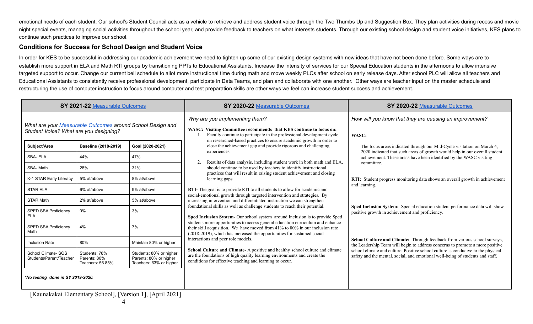emotional needs of each student. Our school's Student Council acts as a vehicle to retrieve and address student voice through the Two Thumbs Up and Suggestion Box. They plan activities during recess and movie night special events, managing social activities throughout the school year, and provide feedback to teachers on what interests students. Through our existing school design and student voice initiatives, KES plans to continue such practices to improve our school.

### **Conditions for Success for School Design and Student Voice**

In order for KES to be successful in addressing our academic achievement we need to tighten up some of our existing design systems with new ideas that have not been done before. Some ways are to establish more support in ELA and Math RTI groups by transitioning PPTs to Educational Assistants. Increase the intensity of services for our Special Education students in the afternoons to allow intensive targeted support to occur. Change our current bell schedule to allot more instructional time during math and move weekly PLCs after school on early release days. After school PLC will allow all teachers and Educational Assistants to consistently receive professional development, participate in Data Teams, and plan and collaborate with one another. Other ways are teacher input on the master schedule and restructuring the use of computer instruction to focus around computer and test preparation skills are other ways we feel can increase student success and achievement.

|                                                                                                      | SY 2021-22 Measurable Outcomes                    |                                                                              | SY 2020-22 Measurable Outcomes                                                                                                                                                                                                            | SY 2020-22 Measurable Outcomes                                                                                                                                     |  |  |
|------------------------------------------------------------------------------------------------------|---------------------------------------------------|------------------------------------------------------------------------------|-------------------------------------------------------------------------------------------------------------------------------------------------------------------------------------------------------------------------------------------|--------------------------------------------------------------------------------------------------------------------------------------------------------------------|--|--|
| What are your Measurable Outcomes around School Design and<br>Student Voice? What are you designing? |                                                   |                                                                              | Why are you implementing them?<br>WASC: Visiting Committee recommends that KES continue to focus on:<br>Faculty continue to participate in the professional development cycle                                                             | How will you know that they are causing an improvement?<br>WASC:                                                                                                   |  |  |
| Subject/Area                                                                                         | Baseline (2018-2019)                              | Goal (2020-2021)                                                             | on researched-based practices to ensure academic growth in order to<br>close the achievement gap and provide rigorous and challenging                                                                                                     | The focus areas indicated through our Mid-Cycle visitation on March 4,                                                                                             |  |  |
| SBA-ELA                                                                                              | 44%                                               | 47%                                                                          | experiences.<br>Results of data analysis, including student work in both math and ELA,                                                                                                                                                    | 2020 indicated that such areas of growth would help in our overall student<br>achievement. These areas have been identified by the WASC visiting                   |  |  |
| SBA-Math                                                                                             | 28%                                               | 31%                                                                          | should continue to be used by teachers to identify instructional<br>practices that will result in raising student achievement and closing                                                                                                 | committee.                                                                                                                                                         |  |  |
| K-1 STAR Early Literacy                                                                              | 5% at/above                                       | 8% at/above                                                                  | learning gaps                                                                                                                                                                                                                             | RTI: Student progress monitoring data shows an overall growth in achievement<br>and learning.                                                                      |  |  |
| <b>STAR ELA</b>                                                                                      | 6% at/above                                       | 9% at/above                                                                  | <b>RTI-</b> The goal is to provide RTI to all students to allow for academic and<br>social-emotional growth through targeted intervention and strategies. By                                                                              |                                                                                                                                                                    |  |  |
| <b>STAR Math</b>                                                                                     | 2% at/above                                       | 5% at/above                                                                  | increasing intervention and differentiated instruction we can strengthen<br>foundational skills as well as challenge students to reach their potential.                                                                                   |                                                                                                                                                                    |  |  |
| <b>SPED SBA Proficiency</b><br><b>ELA</b>                                                            | 0%                                                | 3%                                                                           | Sped Inclusion System- Our school system around Inclusion is to provide Sped                                                                                                                                                              | Sped Inclusion System: Special education student performance data will show<br>positive growth in achievement and proficiency.                                     |  |  |
| <b>SPED SBA Proficiency</b><br>Math                                                                  | 4%                                                | 7%                                                                           | students more opportunities to access general education curriculum and enhance<br>their skill acquisition. We have moved from 41% to 80% in our inclusion rate<br>(2018-2019), which has increased the opportunities for sustained social |                                                                                                                                                                    |  |  |
| <b>Inclusion Rate</b>                                                                                | 80%                                               | Maintain 80% or higher                                                       | interactions and peer role models.                                                                                                                                                                                                        | School Culture and Climate: Through feedback from various school surveys,<br>the Leadership Team will begin to address concerns to promote a more positive         |  |  |
| School Climate-SOS<br>Students/Parent/Teacher                                                        | Students: 78%<br>Parents: 80%<br>Teachers: 56.85% | Students: 80% or higher<br>Parents: 80% or higher<br>Teachers: 63% or higher | School Culture and Climate-A positive and healthy school culture and climate<br>are the foundations of high quality learning environments and create the<br>conditions for effective teaching and learning to occur.                      | school climate and culture. Positive school culture is conducive to the physical<br>safety and the mental, social, and emotional well-being of students and staff. |  |  |
| *No testing done in SY 2019-2020.                                                                    |                                                   |                                                                              |                                                                                                                                                                                                                                           |                                                                                                                                                                    |  |  |

[Kaunakakai Elementary School], [Version 1], [April 2021]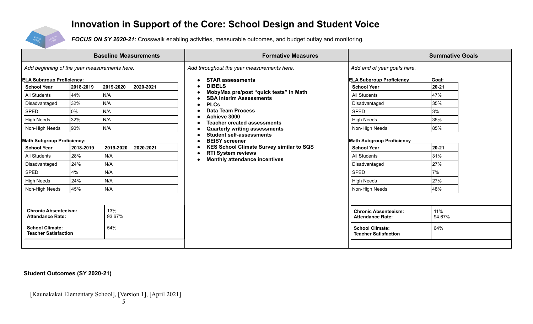## **Innovation in Support of the Core: School Design and Student Voice**



*FOCUS ON SY 2020-21:* Crosswalk enabling activities, measurable outcomes, and budget outlay and monitoring.

|                                                                                                                                                                                                                                                                                          |                                                                                            | <b>Baseline Measurements</b>                                                                 |                        | <b>Formative Measures</b>                                                                                                                                                                                                                                                                                                                                                                                                                  |                                                                                                                                                                                                                                                                                   | <b>Summative Goals</b>                                                                              |
|------------------------------------------------------------------------------------------------------------------------------------------------------------------------------------------------------------------------------------------------------------------------------------------|--------------------------------------------------------------------------------------------|----------------------------------------------------------------------------------------------|------------------------|--------------------------------------------------------------------------------------------------------------------------------------------------------------------------------------------------------------------------------------------------------------------------------------------------------------------------------------------------------------------------------------------------------------------------------------------|-----------------------------------------------------------------------------------------------------------------------------------------------------------------------------------------------------------------------------------------------------------------------------------|-----------------------------------------------------------------------------------------------------|
| Add beginning of the year measurements here.                                                                                                                                                                                                                                             |                                                                                            |                                                                                              |                        | Add throughout the year measurements here.                                                                                                                                                                                                                                                                                                                                                                                                 | Add end of year goals here.                                                                                                                                                                                                                                                       |                                                                                                     |
| <b>ELA Subgroup Proficiency:</b><br><b>School Year</b><br>All Students<br>Disadvantaged<br><b>SPED</b><br><b>High Needs</b><br>Non-High Needs<br><b>Math Subgroup Proficiency:</b><br><b>School Year</b><br>All Students<br>Disadvantaged<br><b>SPED</b><br>High Needs<br>Non-High Needs | 2018-2019<br>44%<br>32%<br>0%<br>32%<br>90%<br>2018-2019<br>28%<br>24%<br>4%<br>24%<br>45% | 2019-2020<br>N/A<br>N/A<br>N/A<br>N/A<br>N/A<br>2019-2020<br>N/A<br>N/A<br>N/A<br>N/A<br>N/A | 2020-2021<br>2020-2021 | <b>STAR assessments</b><br><b>DIBELS</b><br>MobyMax pre/post "quick tests" in Math<br><b>SBA Interim Assessments</b><br><b>PLCs</b><br><b>Data Team Process</b><br>Achieve 3000<br><b>Teacher created assessments</b><br><b>Quarterly writing assessments</b><br><b>Student self-assessments</b><br><b>BEISY</b> screener<br><b>KES School Climate Survey similar to SQS</b><br><b>RTI System reviews</b><br>Monthly attendance incentives | <b>ELA Subgroup Proficiency</b><br>l School Year<br><b>All Students</b><br>Disadvantaged<br><b>SPED</b><br>High Needs<br>Non-High Needs<br><b>Math Subgroup Proficiency</b><br><b>School Year</b><br>All Students<br>Disadvantaged<br><b>SPED</b><br>High Needs<br>Non-High Needs | Goal:<br>$20 - 21$<br>47%<br>35%<br>3%<br>35%<br>85%<br>$20 - 21$<br>31%<br>27%<br>7%<br>27%<br>48% |
| 13%<br><b>Chronic Absenteeism:</b><br>93.67%<br><b>Attendance Rate:</b>                                                                                                                                                                                                                  |                                                                                            |                                                                                              |                        | <b>Chronic Absenteeism:</b><br><b>Attendance Rate:</b>                                                                                                                                                                                                                                                                                                                                                                                     | 11%<br>94.67%                                                                                                                                                                                                                                                                     |                                                                                                     |
| <b>School Climate:</b><br><b>Teacher Satisfaction</b>                                                                                                                                                                                                                                    |                                                                                            | 54%                                                                                          |                        |                                                                                                                                                                                                                                                                                                                                                                                                                                            | <b>School Climate:</b><br><b>Teacher Satisfaction</b>                                                                                                                                                                                                                             | 64%                                                                                                 |

#### **Student Outcomes (SY 2020-21)**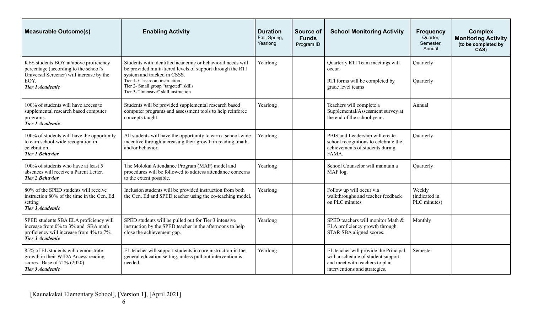| <b>Measurable Outcome(s)</b>                                                                                                                          | <b>Enabling Activity</b>                                                                                                                                                                                                                                                   | <b>Duration</b><br>Fall, Spring,<br>Yearlong | Source of<br><b>Funds</b><br>Program ID | <b>School Monitoring Activity</b>                                                                                                              | <b>Frequency</b><br>Quarter,<br>Semester,<br>Annual | <b>Complex</b><br><b>Monitoring Activity</b><br>(to be completed by<br>CAS) |
|-------------------------------------------------------------------------------------------------------------------------------------------------------|----------------------------------------------------------------------------------------------------------------------------------------------------------------------------------------------------------------------------------------------------------------------------|----------------------------------------------|-----------------------------------------|------------------------------------------------------------------------------------------------------------------------------------------------|-----------------------------------------------------|-----------------------------------------------------------------------------|
| KES students BOY at/above proficiency<br>percentage (according to the school's<br>Universal Screener) will increase by the<br>EOY.<br>Tier 1 Academic | Students with identified academic or behavioral needs will<br>be provided multi-tiered levels of support through the RTI<br>system and tracked in CSSS.<br>Tier 1- Classroom instruction<br>Tier 2- Small group "targeted" skills<br>Tier 3- "Intensive" skill instruction | Yearlong                                     |                                         | Quarterly RTI Team meetings will<br>occur.<br>RTI forms will be completed by<br>grade level teams                                              | Quarterly<br>Quarterly                              |                                                                             |
| 100% of students will have access to<br>supplemental research based computer<br>programs.<br>Tier 1 Academic                                          | Students will be provided supplemental research based<br>computer programs and assessment tools to help reinforce<br>concepts taught.                                                                                                                                      | Yearlong                                     |                                         | Teachers will complete a<br>Supplemental/Assessment survey at<br>the end of the school year.                                                   | Annual                                              |                                                                             |
| 100% of students will have the opportunity<br>to earn school-wide recognition in<br>celebration.<br><b>Tier 1 Behavior</b>                            | All students will have the opportunity to earn a school-wide<br>incentive through increasing their growth in reading, math,<br>and/or behavior.                                                                                                                            | Yearlong                                     |                                         | PBIS and Leadership will create<br>school recognitions to celebrate the<br>achievements of students during<br>FAMA.                            | Quarterly                                           |                                                                             |
| 100% of students who have at least 5<br>absences will receive a Parent Letter.<br><b>Tier 2 Behavior</b>                                              | The Molokai Attendance Program (MAP) model and<br>procedures will be followed to address attendance concerns<br>to the extent possible.                                                                                                                                    | Yearlong                                     |                                         | School Counselor will maintain a<br>MAP log.                                                                                                   | Quarterly                                           |                                                                             |
| 80% of the SPED students will receive<br>instruction 80% of the time in the Gen. Ed<br>setting<br>Tier 3 Academic                                     | Inclusion students will be provided instruction from both<br>the Gen. Ed and SPED teacher using the co-teaching model.                                                                                                                                                     | Yearlong                                     |                                         | Follow up will occur via<br>walkthroughs and teacher feedback<br>on PLC minutes                                                                | Weekly<br>(indicated in<br>PLC minutes)             |                                                                             |
| SPED students SBA ELA proficiency will<br>increase from 0% to 3% and SBA math<br>proficiency will increase from 4% to 7%.<br>Tier 3 Academic          | SPED students will be pulled out for Tier 3 intensive<br>instruction by the SPED teacher in the afternoons to help<br>close the achievement gap.                                                                                                                           | Yearlong                                     |                                         | SPED teachers will monitor Math &<br>ELA proficiency growth through<br>STAR SBA aligned scores.                                                | Monthly                                             |                                                                             |
| 85% of EL students will demonstrate<br>growth in their WIDA Access reading<br>scores. Base of 71% (2020)<br>Tier 3 Academic                           | EL teacher will support students in core instruction in the<br>general education setting, unless pull out intervention is<br>needed.                                                                                                                                       | Yearlong                                     |                                         | EL teacher will provide the Principal<br>with a schedule of student support<br>and meet with teachers to plan<br>interventions and strategies. | Semester                                            |                                                                             |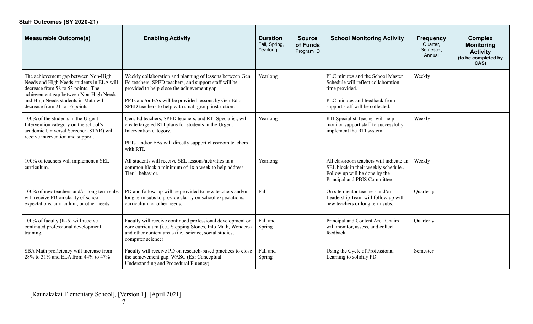| Staff Outcomes (SY 2020-21)                                                                                                                                                                                                                |                                                                                                                                                                                                                                                                                   |                                              |                                         |                                                                                                                                                                 |                                                     |                                                                                       |
|--------------------------------------------------------------------------------------------------------------------------------------------------------------------------------------------------------------------------------------------|-----------------------------------------------------------------------------------------------------------------------------------------------------------------------------------------------------------------------------------------------------------------------------------|----------------------------------------------|-----------------------------------------|-----------------------------------------------------------------------------------------------------------------------------------------------------------------|-----------------------------------------------------|---------------------------------------------------------------------------------------|
| <b>Measurable Outcome(s)</b>                                                                                                                                                                                                               | <b>Enabling Activity</b>                                                                                                                                                                                                                                                          | <b>Duration</b><br>Fall, Spring,<br>Yearlong | <b>Source</b><br>of Funds<br>Program ID | <b>School Monitoring Activity</b>                                                                                                                               | <b>Frequency</b><br>Quarter,<br>Semester,<br>Annual | <b>Complex</b><br><b>Monitoring</b><br><b>Activity</b><br>(to be completed by<br>CAS) |
| The achievement gap between Non-High<br>Needs and High Needs students in ELA will<br>decrease from 58 to 53 points. The<br>achievement gap between Non-High Needs<br>and High Needs students in Math will<br>decrease from 21 to 16 points | Weekly collaboration and planning of lessons between Gen.<br>Ed teachers, SPED teachers, and support staff will be<br>provided to help close the achievement gap.<br>PPTs and/or EAs will be provided lessons by Gen Ed or<br>SPED teachers to help with small group instruction. | Yearlong                                     |                                         | PLC minutes and the School Master<br>Schedule will reflect collaboration<br>time provided.<br>PLC minutes and feedback from<br>support staff will be collected. | Weekly                                              |                                                                                       |
| 100% of the students in the Urgent<br>Intervention category on the school's<br>academic Universal Screener (STAR) will<br>receive intervention and support.                                                                                | Gen. Ed teachers, SPED teachers, and RTI Specialist, will<br>create targeted RTI plans for students in the Urgent<br>Intervention category.<br>PPTs and/or EAs will directly support classroom teachers<br>with RTI.                                                              | Yearlong                                     |                                         | RTI Specialist Teacher will help<br>monitor support staff to successfully<br>implement the RTI system                                                           | Weekly                                              |                                                                                       |
| 100% of teachers will implement a SEL<br>curriculum.                                                                                                                                                                                       | All students will receive SEL lessons/activities in a<br>common block a minimum of 1x a week to help address<br>Tier 1 behavior.                                                                                                                                                  | Yearlong                                     |                                         | All classroom teachers will indicate an<br>SEL block in their weekly schedule<br>Follow up will be done by the<br>Principal and PBIS Committee                  | Weekly                                              |                                                                                       |
| 100% of new teachers and/or long term subs<br>will receive PD on clarity of school<br>expectations, curriculum, or other needs.                                                                                                            | PD and follow-up will be provided to new teachers and/or<br>long term subs to provide clarity on school expectations,<br>curriculum, or other needs.                                                                                                                              | Fall                                         |                                         | On site mentor teachers and/or<br>Leadership Team will follow up with<br>new teachers or long term subs.                                                        | Quarterly                                           |                                                                                       |
| 100% of faculty (K-6) will receive<br>continued professional development<br>training.                                                                                                                                                      | Faculty will receive continued professional development on<br>core curriculum (i.e., Stepping Stones, Into Math, Wonders)<br>and other content areas (i.e., science, social studies,<br>computer science)                                                                         | Fall and<br>Spring                           |                                         | Principal and Content Area Chairs<br>will monitor, assess, and collect<br>feedback.                                                                             | Quarterly                                           |                                                                                       |
| SBA Math proficiency will increase from<br>28% to 31% and ELA from 44% to 47%                                                                                                                                                              | Faculty will receive PD on research-based practices to close<br>the achievement gap. WASC (Ex: Conceptual<br>Understanding and Procedural Fluency)                                                                                                                                | Fall and<br>Spring                           |                                         | Using the Cycle of Professional<br>Learning to solidify PD.                                                                                                     | Semester                                            |                                                                                       |